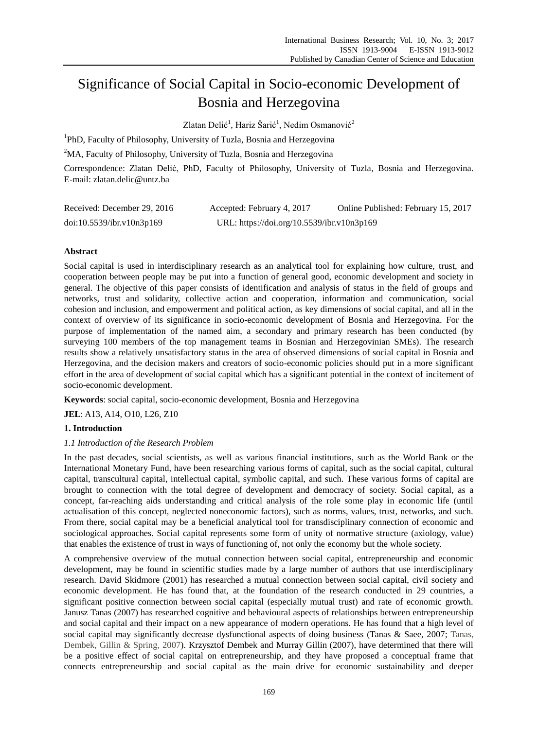# Significance of Social Capital in Socio-economic Development of Bosnia and Herzegovina

Zlatan Delić<sup>1</sup>, Hariz Šarić<sup>1</sup>, Nedim Osmanović<sup>2</sup>

<sup>1</sup>PhD, Faculty of Philosophy, University of Tuzla, Bosnia and Herzegovina

<sup>2</sup>MA, Faculty of Philosophy, University of Tuzla, Bosnia and Herzegovina

Correspondence: Zlatan Delić, PhD, Faculty of Philosophy, University of Tuzla, Bosnia and Herzegovina. E-mail: zlatan.delic@untz.ba

| Received: December 29, 2016 | Accepted: February 4, 2017                 | Online Published: February 15, 2017 |
|-----------------------------|--------------------------------------------|-------------------------------------|
| doi:10.5539/ibr.v10n3p169   | URL: https://doi.org/10.5539/ibr.v10n3p169 |                                     |

# **Abstract**

Social capital is used in interdisciplinary research as an analytical tool for explaining how culture, trust, and cooperation between people may be put into a function of general good, economic development and society in general. The objective of this paper consists of identification and analysis of status in the field of groups and networks, trust and solidarity, collective action and cooperation, information and communication, social cohesion and inclusion, and empowerment and political action, as key dimensions of social capital, and all in the context of overview of its significance in socio-economic development of Bosnia and Herzegovina. For the purpose of implementation of the named aim, a secondary and primary research has been conducted (by surveying 100 members of the top management teams in Bosnian and Herzegovinian SMEs). The research results show a relatively unsatisfactory status in the area of observed dimensions of social capital in Bosnia and Herzegovina, and the decision makers and creators of socio-economic policies should put in a more significant effort in the area of development of social capital which has a significant potential in the context of incitement of socio-economic development.

**Keywords**: social capital, socio-economic development, Bosnia and Herzegovina

**JEL**: A13, A14, O10, L26, Z10

# **1. Introduction**

## *1.1 Introduction of the Research Problem*

In the past decades, social scientists, as well as various financial institutions, such as the World Bank or the International Monetary Fund, have been researching various forms of capital, such as the social capital, cultural capital, transcultural capital, intellectual capital, symbolic capital, and such. These various forms of capital are brought to connection with the total degree of development and democracy of society. Social capital, as a concept, far-reaching aids understanding and critical analysis of the role some play in economic life (until actualisation of this concept, neglected noneconomic factors), such as norms, values, trust, networks, and such. From there, social capital may be a beneficial analytical tool for transdisciplinary connection of economic and sociological approaches. Social capital represents some form of unity of normative structure (axiology, value) that enables the existence of trust in ways of functioning of, not only the economy but the whole society.

A comprehensive overview of the mutual connection between social capital, entrepreneurship and economic development, may be found in scientific studies made by a large number of authors that use interdisciplinary research. David Skidmore (2001) has researched a mutual connection between social capital, civil society and economic development. He has found that, at the foundation of the research conducted in 29 countries, a significant positive connection between social capital (especially mutual trust) and rate of economic growth. Janusz Tanas (2007) has researched cognitive and behavioural aspects of relationships between entrepreneurship and social capital and their impact on a new appearance of modern operations. He has found that a high level of social capital may significantly decrease dysfunctional aspects of doing business (Tanas & Saee, 2007; Tanas, Dembek, Gillin & Spring, 2007). Krzysztof Dembek and Murray Gillin (2007), have determined that there will be a positive effect of social capital on entrepreneurship, and they have proposed a conceptual frame that connects entrepreneurship and social capital as the main drive for economic sustainability and deeper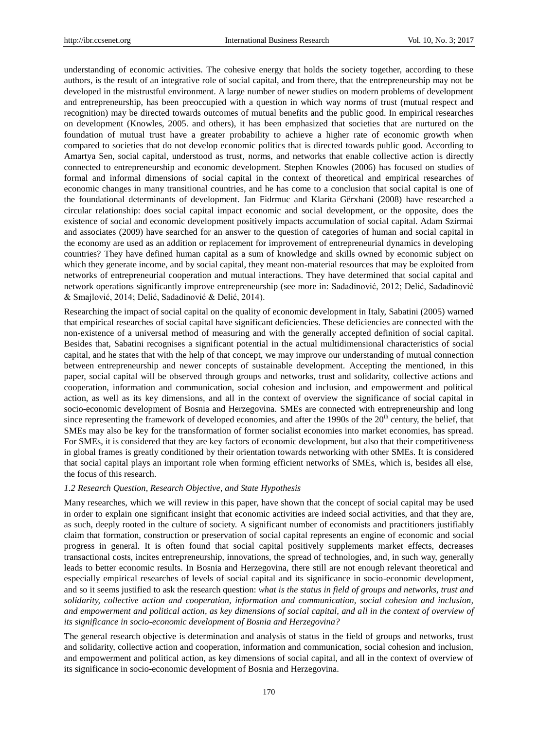understanding of economic activities. The cohesive energy that holds the society together, according to these authors, is the result of an integrative role of social capital, and from there, that the entrepreneurship may not be developed in the mistrustful environment. A large number of newer studies on modern problems of development and entrepreneurship, has been preoccupied with a question in which way norms of trust (mutual respect and recognition) may be directed towards outcomes of mutual benefits and the public good. In empirical researches on development (Knowles, 2005. and others), it has been emphasized that societies that are nurtured on the foundation of mutual trust have a greater probability to achieve a higher rate of economic growth when compared to societies that do not develop economic politics that is directed towards public good. According to Amartya Sen, social capital, understood as trust, norms, and networks that enable collective action is directly connected to entrepreneurship and economic development. Stephen Knowles (2006) has focused on studies of formal and informal dimensions of social capital in the context of theoretical and empirical researches of economic changes in many transitional countries, and he has come to a conclusion that social capital is one of the foundational determinants of development. Jan Fidrmuc and Klarita Gërxhani (2008) have researched a circular relationship: does social capital impact economic and social development, or the opposite, does the existence of social and economic development positively impacts accumulation of social capital. Adam Szirmai and associates (2009) have searched for an answer to the question of categories of human and social capital in the economy are used as an addition or replacement for improvement of entrepreneurial dynamics in developing countries? They have defined human capital as a sum of knowledge and skills owned by economic subject on which they generate income, and by social capital, they meant non-material resources that may be exploited from networks of entrepreneurial cooperation and mutual interactions. They have determined that social capital and network operations significantly improve entrepreneurship (see more in: Sadadinović, 2012; Delić, Sadadinović & Smajlović, 2014; Delić, Sadadinović & Delić, 2014).

Researching the impact of social capital on the quality of economic development in Italy, Sabatini (2005) warned that empirical researches of social capital have significant deficiencies. These deficiencies are connected with the non-existence of a universal method of measuring and with the generally accepted definition of social capital. Besides that, Sabatini recognises a significant potential in the actual multidimensional characteristics of social capital, and he states that with the help of that concept, we may improve our understanding of mutual connection between entrepreneurship and newer concepts of sustainable development. Accepting the mentioned, in this paper, social capital will be observed through groups and networks, trust and solidarity, collective actions and cooperation, information and communication, social cohesion and inclusion, and empowerment and political action, as well as its key dimensions, and all in the context of overview the significance of social capital in socio-economic development of Bosnia and Herzegovina. SMEs are connected with entrepreneurship and long since representing the framework of developed economies, and after the 1990s of the  $20<sup>th</sup>$  century, the belief, that SMEs may also be key for the transformation of former socialist economies into market economies, has spread. For SMEs, it is considered that they are key factors of economic development, but also that their competitiveness in global frames is greatly conditioned by their orientation towards networking with other SMEs. It is considered that social capital plays an important role when forming efficient networks of SMEs, which is, besides all else, the focus of this research.

#### *1.2 Research Question, Research Objective, and State Hypothesis*

Many researches, which we will review in this paper, have shown that the concept of social capital may be used in order to explain one significant insight that economic activities are indeed social activities, and that they are, as such, deeply rooted in the culture of society. A significant number of economists and practitioners justifiably claim that formation, construction or preservation of social capital represents an engine of economic and social progress in general. It is often found that social capital positively supplements market effects, decreases transactional costs, incites entrepreneurship, innovations, the spread of technologies, and, in such way, generally leads to better economic results. In Bosnia and Herzegovina, there still are not enough relevant theoretical and especially empirical researches of levels of social capital and its significance in socio-economic development, and so it seems justified to ask the research question: *what is the status in field of groups and networks, trust and solidarity, collective action and cooperation, information and communication, social cohesion and inclusion, and empowerment and political action, as key dimensions of social capital, and all in the context of overview of its significance in socio-economic development of Bosnia and Herzegovina?*

The general research objective is determination and analysis of status in the field of groups and networks, trust and solidarity, collective action and cooperation, information and communication, social cohesion and inclusion, and empowerment and political action, as key dimensions of social capital, and all in the context of overview of its significance in socio-economic development of Bosnia and Herzegovina.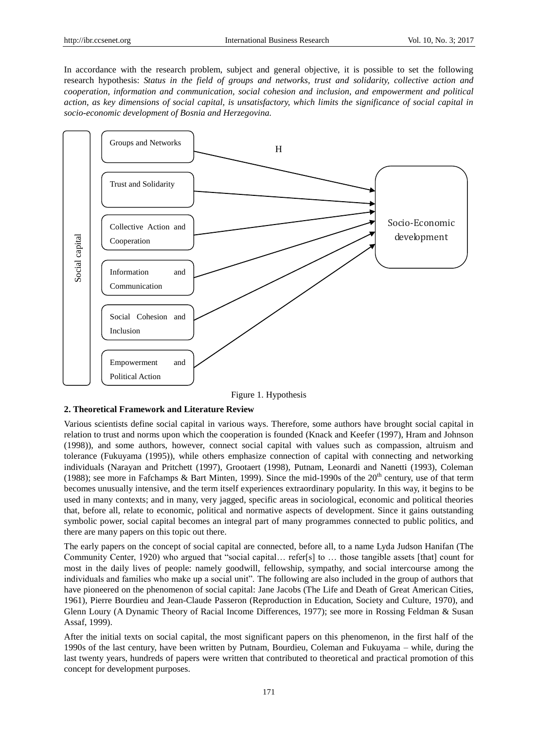In accordance with the research problem, subject and general objective, it is possible to set the following research hypothesis: *Status in the field of groups and networks, trust and solidarity, collective action and cooperation, information and communication, social cohesion and inclusion, and empowerment and political action, as key dimensions of social capital, is unsatisfactory, which limits the significance of social capital in socio-economic development of Bosnia and Herzegovina.*



Figure 1. Hypothesis

## **2. Theoretical Framework and Literature Review**

Various scientists define social capital in various ways. Therefore, some authors have brought social capital in relation to trust and norms upon which the cooperation is founded (Knack and Keefer (1997), Hram and Johnson (1998)), and some authors, however, connect social capital with values such as compassion, altruism and tolerance (Fukuyama (1995)), while others emphasize connection of capital with connecting and networking individuals (Narayan and Pritchett (1997), Grootaert (1998), Putnam, Leonardi and Nanetti (1993), Coleman (1988); see more in Fafchamps & Bart Minten, 1999). Since the mid-1990s of the  $20<sup>th</sup>$  century, use of that term becomes unusually intensive, and the term itself experiences extraordinary popularity. In this way, it begins to be used in many contexts; and in many, very jagged, specific areas in sociological, economic and political theories that, before all, relate to economic, political and normative aspects of development. Since it gains outstanding symbolic power, social capital becomes an integral part of many programmes connected to public politics, and there are many papers on this topic out there.

The early papers on the concept of social capital are connected, before all, to a name Lyda Judson Hanifan (The Community Center, 1920) who argued that "social capital... refer[s] to ... those tangible assets [that] count for most in the daily lives of people: namely goodwill, fellowship, sympathy, and social intercourse among the individuals and families who make up a social unit". The following are also included in the group of authors that have pioneered on the phenomenon of social capital: Jane Jacobs (The Life and Death of Great American Cities, 1961), Pierre Bourdieu and Jean-Claude Passeron (Reproduction in Education, Society and Culture, 1970), and Glenn Loury (A Dynamic Theory of Racial Income Differences, 1977); see more in Rossing Feldman & Susan Assaf, 1999).

After the initial texts on social capital, the most significant papers on this phenomenon, in the first half of the 1990s of the last century, have been written by Putnam, Bourdieu, Coleman and Fukuyama – while, during the last twenty years, hundreds of papers were written that contributed to theoretical and practical promotion of this concept for development purposes.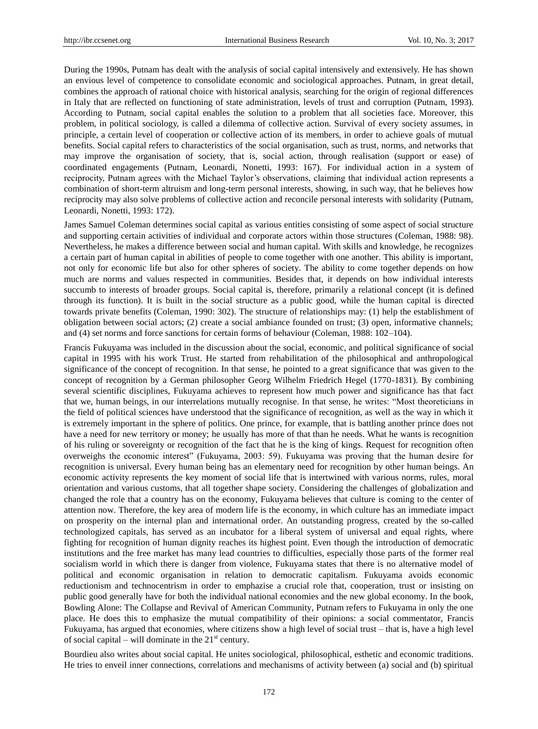During the 1990s, Putnam has dealt with the analysis of social capital intensively and extensively. He has shown an envious level of competence to consolidate economic and sociological approaches. Putnam, in great detail, combines the approach of rational choice with historical analysis, searching for the origin of regional differences in Italy that are reflected on functioning of state administration, levels of trust and corruption (Putnam, 1993). According to Putnam, social capital enables the solution to a problem that all societies face. Moreover, this problem, in political sociology, is called a dilemma of collective action. Survival of every society assumes, in principle, a certain level of cooperation or collective action of its members, in order to achieve goals of mutual benefits. Social capital refers to characteristics of the social organisation, such as trust, norms, and networks that may improve the organisation of society, that is, social action, through realisation (support or ease) of coordinated engagements (Putnam, Leonardi, Nonetti, 1993: 167). For individual action in a system of reciprocity, Putnam agrees with the Michael Taylor's observations, claiming that individual action represents a combination of short-term altruism and long-term personal interests, showing, in such way, that he believes how reciprocity may also solve problems of collective action and reconcile personal interests with solidarity (Putnam, Leonardi, Nonetti, 1993: 172).

James Samuel Coleman determines social capital as various entities consisting of some aspect of social structure and supporting certain activities of individual and corporate actors within those structures (Coleman, 1988: 98). Nevertheless, he makes a difference between social and human capital. With skills and knowledge, he recognizes a certain part of human capital in abilities of people to come together with one another. This ability is important, not only for economic life but also for other spheres of society. The ability to come together depends on how much are norms and values respected in communities. Besides that, it depends on how individual interests succumb to interests of broader groups. Social capital is, therefore, primarily a relational concept (it is defined through its function). It is built in the social structure as a public good, while the human capital is directed towards private benefits (Coleman, 1990: 302). The structure of relationships may: (1) help the establishment of obligation between social actors; (2) create a social ambiance founded on trust; (3) open, informative channels; and (4) set norms and force sanctions for certain forms of behaviour (Coleman, 1988: 102–104).

Francis Fukuyama was included in the discussion about the social, economic, and political significance of social capital in 1995 with his work Trust. He started from rehabilitation of the philosophical and anthropological significance of the concept of recognition. In that sense, he pointed to a great significance that was given to the concept of recognition by a German philosopher Georg Wilhelm Friedrich Hegel (1770-1831). By combining several scientific disciplines, Fukuyama achieves to represent how much power and significance has that fact that we, human beings, in our interrelations mutually recognise. In that sense, he writes: "Most theoreticians in the field of political sciences have understood that the significance of recognition, as well as the way in which it is extremely important in the sphere of politics. One prince, for example, that is battling another prince does not have a need for new territory or money; he usually has more of that than he needs. What he wants is recognition of his ruling or sovereignty or recognition of the fact that he is the king of kings. Request for recognition often overweighs the economic interest‖ (Fukuyama, 2003: 59). Fukuyama was proving that the human desire for recognition is universal. Every human being has an elementary need for recognition by other human beings. An economic activity represents the key moment of social life that is intertwined with various norms, rules, moral orientation and various customs, that all together shape society. Considering the challenges of globalization and changed the role that a country has on the economy, Fukuyama believes that culture is coming to the center of attention now. Therefore, the key area of modern life is the economy, in which culture has an immediate impact on prosperity on the internal plan and international order. An outstanding progress, created by the so-called technologized capitals, has served as an incubator for a liberal system of universal and equal rights, where fighting for recognition of human dignity reaches its highest point. Even though the introduction of democratic institutions and the free market has many lead countries to difficulties, especially those parts of the former real socialism world in which there is danger from violence, Fukuyama states that there is no alternative model of political and economic organisation in relation to democratic capitalism. Fukuyama avoids economic reductionism and technocentrism in order to emphazise a crucial role that, cooperation, trust or insisting on public good generally have for both the individual national economies and the new global economy. In the book, Bowling Alone: The Collapse and Revival of American Community, Putnam refers to Fukuyama in only the one place. He does this to emphasize the mutual compatibility of their opinions: a social commentator, Francis Fukuyama, has argued that economies, where citizens show a high level of social trust – that is, have a high level of social capital – will dominate in the  $21<sup>st</sup>$  century.

Bourdieu also writes about social capital. He unites sociological, philosophical, esthetic and economic traditions. He tries to enveil inner connections, correlations and mechanisms of activity between (a) social and (b) spiritual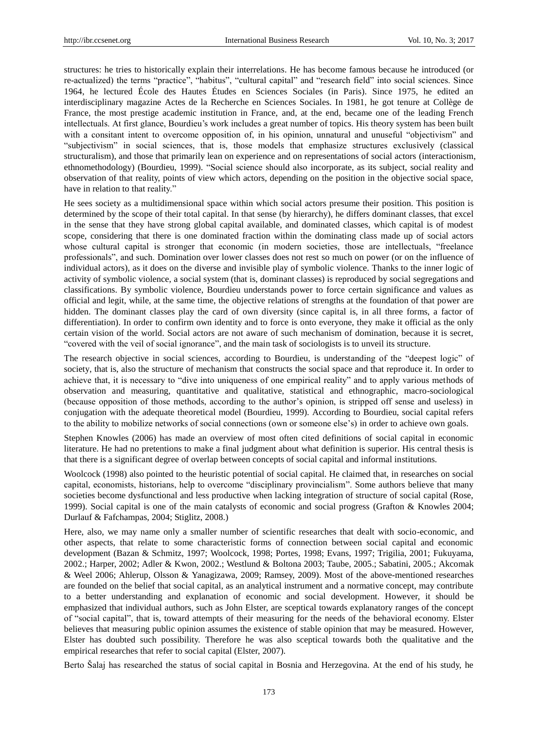structures: he tries to historically explain their interrelations. He has become famous because he introduced (or re-actualized) the terms "practice", "habitus", "cultural capital" and "research field" into social sciences. Since 1964, he lectured École des Hautes Études en Sciences Sociales (in Paris). Since 1975, he edited an interdisciplinary magazine Actes de la Recherche en Sciences Sociales. In 1981, he got tenure at Collège de France, the most prestige academic institution in France, and, at the end, became one of the leading French intellectuals. At first glance, Bourdieu's work includes a great number of topics. His theory system has been built with a consitant intent to overcome opposition of, in his opinion, unnatural and unuseful "objectivism" and ―subjectivism‖ in social sciences, that is, those models that emphasize structures exclusively (classical structuralism), and those that primarily lean on experience and on representations of social actors (interactionism, ethnomethodology) (Bourdieu, 1999). "Social science should also incorporate, as its subject, social reality and observation of that reality, points of view which actors, depending on the position in the objective social space, have in relation to that reality."

He sees society as a multidimensional space within which social actors presume their position. This position is determined by the scope of their total capital. In that sense (by hierarchy), he differs dominant classes, that excel in the sense that they have strong global capital available, and dominated classes, which capital is of modest scope, considering that there is one dominated fraction within the dominating class made up of social actors whose cultural capital is stronger that economic (in modern societies, those are intellectuals, "freelance professionals‖, and such. Domination over lower classes does not rest so much on power (or on the influence of individual actors), as it does on the diverse and invisible play of symbolic violence. Thanks to the inner logic of activity of symbolic violence, a social system (that is, dominant classes) is reproduced by social segregations and classifications. By symbolic violence, Bourdieu understands power to force certain significance and values as official and legit, while, at the same time, the objective relations of strengths at the foundation of that power are hidden. The dominant classes play the card of own diversity (since capital is, in all three forms, a factor of differentiation). In order to confirm own identity and to force is onto everyone, they make it official as the only certain vision of the world. Social actors are not aware of such mechanism of domination, because it is secret, "covered with the veil of social ignorance", and the main task of sociologists is to unveil its structure.

The research objective in social sciences, according to Bourdieu, is understanding of the "deepest logic" of society, that is, also the structure of mechanism that constructs the social space and that reproduce it. In order to achieve that, it is necessary to "dive into uniqueness of one empirical reality" and to apply various methods of observation and measuring, quantitative and qualitative, statistical and ethnographic, macro-sociological (because opposition of those methods, according to the author's opinion, is stripped off sense and useless) in conjugation with the adequate theoretical model (Bourdieu, 1999). According to Bourdieu, social capital refers to the ability to mobilize networks of social connections (own or someone else's) in order to achieve own goals.

Stephen Knowles (2006) has made an overview of most often cited definitions of social capital in economic literature. He had no pretentions to make a final judgment about what definition is superior. His central thesis is that there is a significant degree of overlap between concepts of social capital and informal institutions.

Woolcock (1998) also pointed to the heuristic potential of social capital. He claimed that, in researches on social capital, economists, historians, help to overcome "disciplinary provincialism". Some authors believe that many societies become dysfunctional and less productive when lacking integration of structure of social capital (Rose, 1999). Social capital is one of the main catalysts of economic and social progress (Grafton & Knowles 2004; Durlauf & Fafchampas, 2004; Stiglitz, 2008.)

Here, also, we may name only a smaller number of scientific researches that dealt with socio-economic, and other aspects, that relate to some characteristic forms of connection between social capital and economic development (Bazan & Schmitz, 1997; Woolcock, 1998; Portes, 1998; Evans, 1997; Trigilia, 2001; Fukuyama, 2002.; Harper, 2002; Adler & Kwon, 2002.; Westlund & Boltona 2003; Taube, 2005.; Sabatini, 2005.; Akcomak & Weel 2006; Ahlerup, Olsson & Yanagizawa, 2009; Ramsey, 2009). Most of the above-mentioned researches are founded on the belief that social capital, as an analytical instrument and a normative concept, may contribute to a better understanding and explanation of economic and social development. However, it should be emphasized that individual authors, such as John Elster, are sceptical towards explanatory ranges of the concept of "social capital", that is, toward attempts of their measuring for the needs of the behavioral economy. Elster believes that measuring public opinion assumes the existence of stable opinion that may be measured. However, Elster has doubted such possibility. Therefore he was also sceptical towards both the qualitative and the empirical researches that refer to social capital (Elster, 2007).

Berto Šalaj has researched the status of social capital in Bosnia and Herzegovina. At the end of his study, he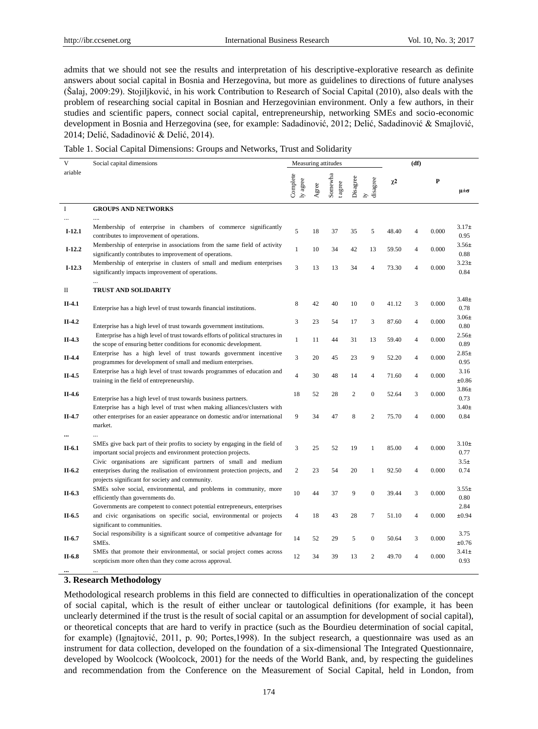admits that we should not see the results and interpretation of his descriptive-explorative research as definite answers about social capital in Bosnia and Herzegovina, but more as guidelines to directions of future analyses (Šalaj, 2009:29). Stojiljković, in his work Contribution to Research of Social Capital (2010), also deals with the problem of researching social capital in Bosnian and Herzegovinian environment. Only a few authors, in their studies and scientific papers, connect social capital, entrepreneurship, networking SMEs and socio-economic development in Bosnia and Herzegovina (see, for example: Sadadinović, 2012; Delić, Sadadinović & Smajlović, 2014; Delić, Sadadinović & Delić, 2014).

Table 1. Social Capital Dimensions: Groups and Networks, Trust and Solidarity

| V            | Social capital dimensions                                                                                                                                                                         | Measuring attitudes  |       |                    |                |                    | (df)     |                |             |                    |
|--------------|---------------------------------------------------------------------------------------------------------------------------------------------------------------------------------------------------|----------------------|-------|--------------------|----------------|--------------------|----------|----------------|-------------|--------------------|
| ariable      |                                                                                                                                                                                                   | Complete<br>ly agree | Agree | Somewha<br>t agree | Disagree       | disagree<br>$\geq$ | $\chi^2$ |                | $\mathbf P$ | μ±σ                |
| I            | <b>GROUPS AND NETWORKS</b>                                                                                                                                                                        |                      |       |                    |                |                    |          |                |             |                    |
| <br>$I-12.1$ | <br>Membership of enterprise in chambers of commerce significantly<br>contributes to improvement of operations.                                                                                   | 5                    | 18    | 37                 | 35             | 5                  | 48.40    | $\overline{4}$ | 0.000       | $3.17 \pm$<br>0.95 |
| $I-12.2$     | Membership of enterprise in associations from the same field of activity<br>significantly contributes to improvement of operations.                                                               | $\mathbf{1}$         | 10    | 34                 | 42             | 13                 | 59.50    | $\overline{4}$ | 0.000       | $3.56 \pm$<br>0.88 |
| $I-12.3$     | Membership of enterprise in clusters of small and medium enterprises<br>significantly impacts improvement of operations.<br>$\cdots$                                                              | 3                    | 13    | 13                 | 34             | $\overline{4}$     | 73.30    | $\overline{4}$ | 0.000       | $3.23 \pm$<br>0.84 |
| П            | TRUST AND SOLIDARITY                                                                                                                                                                              |                      |       |                    |                |                    |          |                |             |                    |
| $II-4.1$     | Enterprise has a high level of trust towards financial institutions.                                                                                                                              | 8                    | 42    | 40                 | 10             | $\boldsymbol{0}$   | 41.12    | $\mathfrak z$  | 0.000       | $3.48 \pm$<br>0.78 |
| $II-4.2$     | Enterprise has a high level of trust towards government institutions.                                                                                                                             | 3                    | 23    | 54                 | 17             | 3                  | 87.60    | $\overline{4}$ | 0.000       | $3.06 \pm$<br>0.80 |
| $II-4.3$     | Enterprise has a high level of trust towards efforts of political structures in<br>the scope of ensuring better conditions for economic development.                                              | $\mathbf{1}$         | 11    | 44                 | 31             | 13                 | 59.40    | $\overline{4}$ | 0.000       | $2.56 \pm$<br>0.89 |
| $II-4.4$     | Enterprise has a high level of trust towards government incentive<br>programmes for development of small and medium enterprises.                                                                  | 3                    | 20    | 45                 | 23             | 9                  | 52.20    | $\overline{4}$ | 0.000       | $2.85 \pm$<br>0.95 |
| $II-4.5$     | Enterprise has a high level of trust towards programmes of education and<br>training in the field of entrepreneurship.                                                                            | $\overline{4}$       | 30    | 48                 | 14             | $\overline{4}$     | 71.60    | $\overline{4}$ | 0.000       | 3.16<br>±0.86      |
| II-4.6       | Enterprise has a high level of trust towards business partners.                                                                                                                                   | 18                   | 52    | 28                 | $\overline{c}$ | $\boldsymbol{0}$   | 52.64    | 3              | 0.000       | $3.86 \pm$<br>0.73 |
| $II-4.7$     | Enterprise has a high level of trust when making alliances/clusters with<br>other enterprises for an easier appearance on domestic and/or international<br>market.                                | 9                    | 34    | 47                 | 8              | $\overline{c}$     | 75.70    | $\overline{4}$ | 0.000       | $3.40 \pm$<br>0.84 |
| <br>II-6.1   | <br>SMEs give back part of their profits to society by engaging in the field of<br>important social projects and environment protection projects.                                                 | 3                    | 25    | 52                 | 19             | $\mathbf{1}$       | 85.00    | $\overline{4}$ | 0.000       | $3.10 \pm$<br>0.77 |
| $II-6.2$     | Civic organisations are significant partners of small and medium<br>enterprises during the realisation of environment protection projects, and<br>projects significant for society and community. | $\mathbf{2}$         | 23    | 54                 | 20             | $\mathbf{1}$       | 92.50    | $\overline{4}$ | 0.000       | $3.5 \pm$<br>0.74  |
| $II-6.3$     | SMEs solve social, environmental, and problems in community, more<br>efficiently than governments do.                                                                                             | 10                   | 44    | 37                 | 9              | $\boldsymbol{0}$   | 39.44    | 3              | 0.000       | $3.55 \pm$<br>0.80 |
| II-6.5       | Governments are competent to connect potential entrepreneurs, enterprises<br>and civic organisations on specific social, environmental or projects<br>significant to communities.                 | $\overline{4}$       | 18    | 43                 | 28             | 7                  | 51.10    | $\overline{4}$ | 0.000       | 2.84<br>±0.94      |
| $II-6.7$     | Social responsibility is a significant source of competitive advantage for<br>SME <sub>s</sub> .                                                                                                  | 14                   | 52    | 29                 | 5              | $\boldsymbol{0}$   | 50.64    | 3              | 0.000       | 3.75<br>±0.76      |
| $II-6.8$     | SMEs that promote their environmental, or social project comes across<br>scepticism more often than they come across approval.                                                                    | 12                   | 34    | 39                 | 13             | $\mathfrak{2}$     | 49.70    | $\overline{4}$ | 0.000       | $3.41 \pm$<br>0.93 |
|              |                                                                                                                                                                                                   |                      |       |                    |                |                    |          |                |             |                    |

## **3. Research Methodology**

Methodological research problems in this field are connected to difficulties in operationalization of the concept of social capital, which is the result of either unclear or tautological definitions (for example, it has been unclearly determined if the trust is the result of social capital or an assumption for development of social capital), or theoretical concepts that are hard to verify in practice (such as the Bourdieu determination of social capital, for example) (Ignajtović, 2011, p. 90; Portes,1998). In the subject research, a questionnaire was used as an instrument for data collection, developed on the foundation of a six-dimensional The Integrated Questionnaire, developed by Woolcock (Woolcock, 2001) for the needs of the World Bank, and, by respecting the guidelines and recommendation from the Conference on the Measurement of Social Capital, held in London, from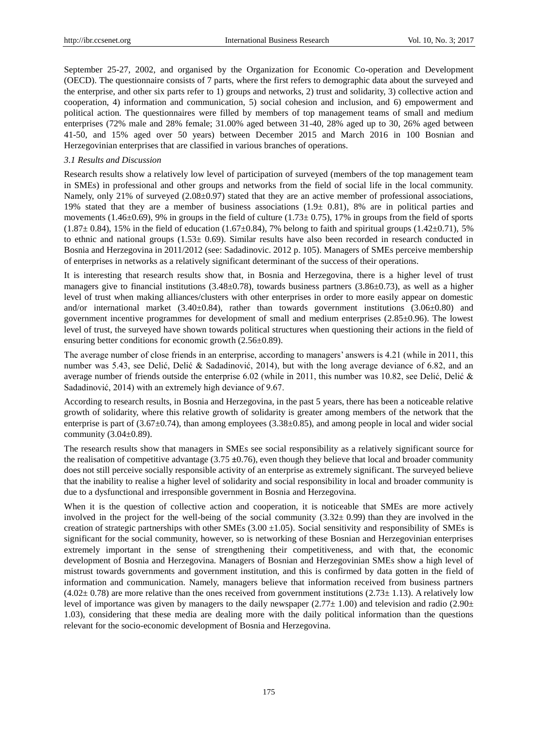September 25-27, 2002, and organised by the Organization for Economic Co-operation and Development (OECD). The questionnaire consists of 7 parts, where the first refers to demographic data about the surveyed and the enterprise, and other six parts refer to 1) groups and networks, 2) trust and solidarity, 3) collective action and cooperation, 4) information and communication, 5) social cohesion and inclusion, and 6) empowerment and political action. The questionnaires were filled by members of top management teams of small and medium enterprises (72% male and 28% female; 31.00% aged between 31-40, 28% aged up to 30, 26% aged between 41-50, and 15% aged over 50 years) between December 2015 and March 2016 in 100 Bosnian and Herzegovinian enterprises that are classified in various branches of operations.

#### *3.1 Results and Discussion*

Research results show a relatively low level of participation of surveyed (members of the top management team in SMEs) in professional and other groups and networks from the field of social life in the local community. Namely, only 21% of surveyed  $(2.08 \pm 0.97)$  stated that they are an active member of professional associations, 19% stated that they are a member of business associations  $(1.9 \pm 0.81)$ , 8% are in political parties and movements (1.46 $\pm$ 0.69), 9% in groups in the field of culture (1.73 $\pm$ 0.75), 17% in groups from the field of sports  $(1.87 \pm 0.84)$ , 15% in the field of education  $(1.67 \pm 0.84)$ , 7% belong to faith and spiritual groups  $(1.42 \pm 0.71)$ , 5% to ethnic and national groups  $(1.53 \pm 0.69)$ . Similar results have also been recorded in research conducted in Bosnia and Herzegovina in 2011/2012 (see: Sadadinovic. 2012 p. 105). Managers of SMEs perceive membership of enterprises in networks as a relatively significant determinant of the success of their operations.

It is interesting that research results show that, in Bosnia and Herzegovina, there is a higher level of trust managers give to financial institutions (3.48 $\pm$ 0.78), towards business partners (3.86 $\pm$ 0.73), as well as a higher level of trust when making alliances/clusters with other enterprises in order to more easily appear on domestic and/or international market  $(3.40\pm0.84)$ , rather than towards government institutions  $(3.06\pm0.80)$  and government incentive programmes for development of small and medium enterprises  $(2.85 \pm 0.96)$ . The lowest level of trust, the surveyed have shown towards political structures when questioning their actions in the field of ensuring better conditions for economic growth  $(2.56\pm0.89)$ .

The average number of close friends in an enterprise, according to managers' answers is 4.21 (while in 2011, this number was 5.43, see Delić, Delić & Sadadinović, 2014), but with the long average deviance of 6.82, and an average number of friends outside the enterprise 6.02 (while in 2011, this number was 10.82, see Delić, Delić & Sadadinović, 2014) with an extremely high deviance of 9.67.

According to research results, in Bosnia and Herzegovina, in the past 5 years, there has been a noticeable relative growth of solidarity, where this relative growth of solidarity is greater among members of the network that the enterprise is part of (3.67 $\pm$ 0.74), than among employees (3.38 $\pm$ 0.85), and among people in local and wider social community  $(3.04 \pm 0.89)$ .

The research results show that managers in SMEs see social responsibility as a relatively significant source for the realisation of competitive advantage (3.75 **±**0.76), even though they believe that local and broader community does not still perceive socially responsible activity of an enterprise as extremely significant. The surveyed believe that the inability to realise a higher level of solidarity and social responsibility in local and broader community is due to a dysfunctional and irresponsible government in Bosnia and Herzegovina.

When it is the question of collective action and cooperation, it is noticeable that SMEs are more actively involved in the project for the well-being of the social community  $(3.32 \pm 0.99)$  than they are involved in the creation of strategic partnerships with other SMEs (3.00  $\pm$ 1.05). Social sensitivity and responsibility of SMEs is significant for the social community, however, so is networking of these Bosnian and Herzegovinian enterprises extremely important in the sense of strengthening their competitiveness, and with that, the economic development of Bosnia and Herzegovina. Managers of Bosnian and Herzegovinian SMEs show a high level of mistrust towards governments and government institution, and this is confirmed by data gotten in the field of information and communication. Namely, managers believe that information received from business partners  $(4.02 \pm 0.78)$  are more relative than the ones received from government institutions (2.73 $\pm$ 1.13). A relatively low level of importance was given by managers to the daily newspaper ( $2.77 \pm 1.00$ ) and television and radio ( $2.90 \pm 1.00$ ) 1.03), considering that these media are dealing more with the daily political information than the questions relevant for the socio-economic development of Bosnia and Herzegovina.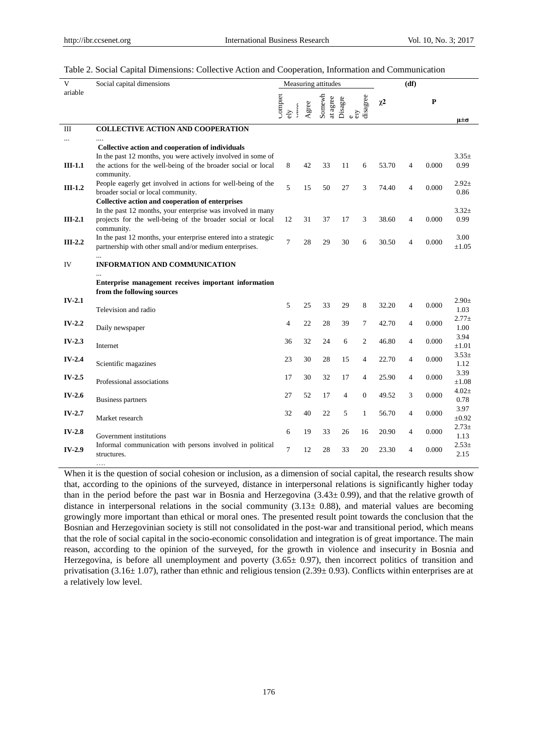#### Table 2. Social Capital Dimensions: Collective Action and Cooperation, Information and Communication

| V         | Social capital dimensions                                                                                                  | Measuring attitudes                          |       |                    |                          | (df)           |          |   |              |                    |
|-----------|----------------------------------------------------------------------------------------------------------------------------|----------------------------------------------|-------|--------------------|--------------------------|----------------|----------|---|--------------|--------------------|
| ariable   |                                                                                                                            | <b>Complet</b><br>ommo<br>$\epsilon_{\rm D}$ | Agree | Somewh<br>at agree | Disagre<br>$\frac{1}{2}$ | disagree       | $\chi^2$ |   | $\mathbf{P}$ |                    |
| $\rm III$ | <b>COLLECTIVE ACTION AND COOPERATION</b>                                                                                   |                                              |       |                    |                          |                |          |   |              | $\mu \pm \sigma$   |
| $\cdots$  |                                                                                                                            |                                              |       |                    |                          |                |          |   |              |                    |
|           | Collective action and cooperation of individuals                                                                           |                                              |       |                    |                          |                |          |   |              |                    |
| $III-1.1$ | In the past 12 months, you were actively involved in some of                                                               | 8                                            | 42    | 33                 | 11                       | 6              | 53.70    |   | 0.000        | $3.35 \pm$<br>0.99 |
|           | the actions for the well-being of the broader social or local<br>community.                                                |                                              |       |                    |                          |                |          | 4 |              |                    |
| $III-1.2$ | People eagerly get involved in actions for well-being of the<br>broader social or local community.                         | 5                                            | 15    | 50                 | 27                       | 3              | 74.40    | 4 | 0.000        | $2.92 +$<br>0.86   |
|           | Collective action and cooperation of enterprises                                                                           |                                              |       |                    |                          |                |          |   |              |                    |
| $III-2.1$ | In the past 12 months, your enterprise was involved in many<br>projects for the well-being of the broader social or local  | 12                                           | 31    | 37                 | 17                       | 3              | 38.60    | 4 | 0.000        | $3.32 \pm$<br>0.99 |
|           | community.                                                                                                                 |                                              |       |                    |                          |                |          |   |              |                    |
| $III-2.2$ | In the past 12 months, your enterprise entered into a strategic<br>partnership with other small and/or medium enterprises. | $\tau$                                       | 28    | 29                 | 30                       | 6              | 30.50    | 4 | 0.000        | 3.00<br>±1.05      |
| IV        | <b>INFORMATION AND COMMUNICATION</b>                                                                                       |                                              |       |                    |                          |                |          |   |              |                    |
|           | Enterprise management receives important information<br>from the following sources                                         |                                              |       |                    |                          |                |          |   |              |                    |
| $IV-2.1$  |                                                                                                                            | 5                                            | 25    | 33                 | 29                       | 8              | 32.20    | 4 | 0.000        | $2.90 \pm$         |
|           | Television and radio                                                                                                       |                                              |       |                    |                          |                |          |   |              | 1.03               |
| $IV-2.2$  | Daily newspaper                                                                                                            | $\overline{4}$                               | 22    | 28                 | 39                       | 7              | 42.70    | 4 | 0.000        | $2.77 +$<br>1.00   |
|           |                                                                                                                            |                                              |       |                    |                          |                |          |   |              | 3.94               |
| $IV-2.3$  | Internet                                                                                                                   | 36                                           | 32    | 24                 | 6                        | 2              | 46.80    | 4 | 0.000        | $\pm 1.01$         |
| $IV-2.4$  | Scientific magazines                                                                                                       | 23                                           | 30    | 28                 | 15                       | $\overline{4}$ | 22.70    | 4 | 0.000        | $3.53 \pm$<br>1.12 |
| $IV-2.5$  | Professional associations                                                                                                  | 17                                           | 30    | 32                 | 17                       | 4              | 25.90    | 4 | 0.000        | 3.39<br>$\pm 1.08$ |
| $IV-2.6$  | <b>Business partners</b>                                                                                                   | 27                                           | 52    | 17                 | $\overline{4}$           | $\overline{0}$ | 49.52    | 3 | 0.000        | $4.02 \pm$<br>0.78 |
| $IV-2.7$  | Market research                                                                                                            | 32                                           | 40    | 22                 | 5                        | $\mathbf{1}$   | 56.70    | 4 | 0.000        | 3.97<br>±0.92      |
| $IV-2.8$  | Government institutions                                                                                                    | 6                                            | 19    | 33                 | 26                       | 16             | 20.90    | 4 | 0.000        | $2.73 \pm$<br>1.13 |
| $IV-2.9$  | Informal communication with persons involved in political<br>structures.                                                   | $\overline{7}$                               | 12    | 28                 | 33                       | 20             | 23.30    | 4 | 0.000        | $2.53 \pm$<br>2.15 |
|           |                                                                                                                            |                                              |       |                    |                          |                |          |   |              |                    |

When it is the question of social cohesion or inclusion, as a dimension of social capital, the research results show that, according to the opinions of the surveyed, distance in interpersonal relations is significantly higher today than in the period before the past war in Bosnia and Herzegovina  $(3.43 \pm 0.99)$ , and that the relative growth of distance in interpersonal relations in the social community  $(3.13 \pm 0.88)$ , and material values are becoming growingly more important than ethical or moral ones. The presented result point towards the conclusion that the Bosnian and Herzegovinian society is still not consolidated in the post-war and transitional period, which means that the role of social capital in the socio-economic consolidation and integration is of great importance. The main reason, according to the opinion of the surveyed, for the growth in violence and insecurity in Bosnia and Herzegovina, is before all unemployment and poverty  $(3.65 \pm 0.97)$ , then incorrect politics of transition and privatisation (3.16±1.07), rather than ethnic and religious tension (2.39±0.93). Conflicts within enterprises are at a relatively low level.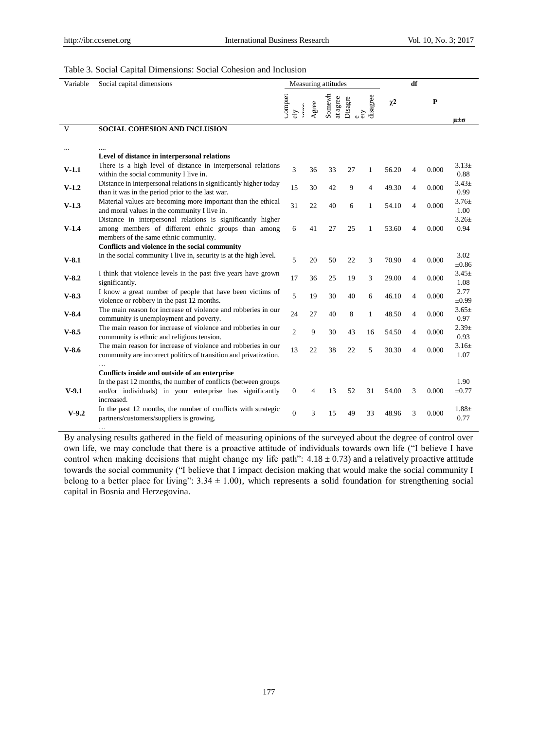#### Table 3. Social Capital Dimensions: Social Cohesion and Inclusion

| Variable           | Social capital dimensions                                                                                                                                                                                                                                  | Measuring attitudes            |        |                    |                          |                | df             |        |                |                             |
|--------------------|------------------------------------------------------------------------------------------------------------------------------------------------------------------------------------------------------------------------------------------------------------|--------------------------------|--------|--------------------|--------------------------|----------------|----------------|--------|----------------|-----------------------------|
|                    |                                                                                                                                                                                                                                                            | <b>Complet</b><br>arras<br>ely | Agree  | Somewh<br>at agree | Disagre<br>$\frac{1}{2}$ | disagree       | $\chi^2$       |        | ${\bf P}$      | μ±σ                         |
| V                  | SOCIAL COHESION AND INCLUSION                                                                                                                                                                                                                              |                                |        |                    |                          |                |                |        |                |                             |
|                    | Level of distance in interpersonal relations                                                                                                                                                                                                               |                                |        |                    |                          |                |                |        |                |                             |
| $V-1.1$            | There is a high level of distance in interpersonal relations<br>within the social community I live in.                                                                                                                                                     | 3                              | 36     | 33                 | 27                       | 1              | 56.20          | 4      | 0.000          | $3.13 \pm$<br>0.88          |
| $V-1.2$            | Distance in interpersonal relations in significantly higher today<br>than it was in the period prior to the last war.                                                                                                                                      | 15                             | 30     | 42                 | 9                        | $\overline{4}$ | 49.30          | 4      | 0.000          | $3.43 \pm$<br>0.99          |
| $V-1.3$            | Material values are becoming more important than the ethical<br>and moral values in the community I live in.                                                                                                                                               | 31                             | 22     | 40                 | 6                        | $\mathbf{1}$   | 54.10          | 4      | 0.000          | $3.76 \pm$<br>1.00          |
| $V-1.4$            | Distance in interpersonal relations is significantly higher<br>among members of different ethnic groups than among<br>members of the same ethnic community.                                                                                                | 6                              | 41     | 27                 | 25                       | $\mathbf{1}$   | 53.60          | 4      | 0.000          | $3.26 \pm$<br>0.94          |
| $V-8.1$            | Conflicts and violence in the social community<br>In the social community I live in, security is at the high level.                                                                                                                                        | 5                              | 20     | 50                 | 22                       | 3              | 70.90          | 4      | 0.000          | 3.02<br>$\pm 0.86$          |
| $V-8.2$            | I think that violence levels in the past five years have grown<br>significantly.                                                                                                                                                                           | 17                             | 36     | 25                 | 19                       | 3              | 29.00          | 4      | 0.000          | $3.45 \pm$<br>1.08          |
| $V-8.3$            | I know a great number of people that have been victims of<br>violence or robbery in the past 12 months.                                                                                                                                                    | 5                              | 19     | 30                 | 40                       | 6              | 46.10          | 4      | 0.000          | 2.77<br>±0.99               |
| $V-8.4$            | The main reason for increase of violence and robberies in our<br>community is unemployment and poverty.                                                                                                                                                    | 24                             | 27     | 40                 | 8                        | $\mathbf{1}$   | 48.50          | 4      | 0.000          | $3.65 \pm$<br>0.97          |
| $V-8.5$            | The main reason for increase of violence and robberies in our<br>community is ethnic and religious tension.                                                                                                                                                | $\overline{2}$                 | 9      | 30                 | 43                       | 16             | 54.50          | 4      | 0.000          | $2.39 +$<br>0.93            |
| $V-8.6$            | The main reason for increase of violence and robberies in our<br>community are incorrect politics of transition and privatization.                                                                                                                         | 13                             | 22     | 38                 | 22                       | 5              | 30.30          | 4      | 0.000          | $3.16 \pm$<br>1.07          |
| $V-9.1$<br>$V-9.2$ | Conflicts inside and outside of an enterprise<br>In the past 12 months, the number of conflicts (between groups<br>and/or individuals) in your enterprise has significantly<br>increased.<br>In the past 12 months, the number of conflicts with strategic | $\mathbf{0}$<br>$\mathbf{0}$   | 4<br>3 | 13<br>15           | 52<br>49                 | 31<br>33       | 54.00<br>48.96 | 3<br>3 | 0.000<br>0.000 | 1.90<br>±0.77<br>$1.88 \pm$ |
|                    | partners/customers/suppliers is growing.                                                                                                                                                                                                                   |                                |        |                    |                          |                |                |        |                | 0.77                        |

By analysing results gathered in the field of measuring opinions of the surveyed about the degree of control over own life, we may conclude that there is a proactive attitude of individuals towards own life ("I believe I have control when making decisions that might change my life path":  $4.18 \pm 0.73$ ) and a relatively proactive attitude towards the social community ("I believe that I impact decision making that would make the social community I belong to a better place for living":  $3.34 \pm 1.00$ ), which represents a solid foundation for strengthening social capital in Bosnia and Herzegovina.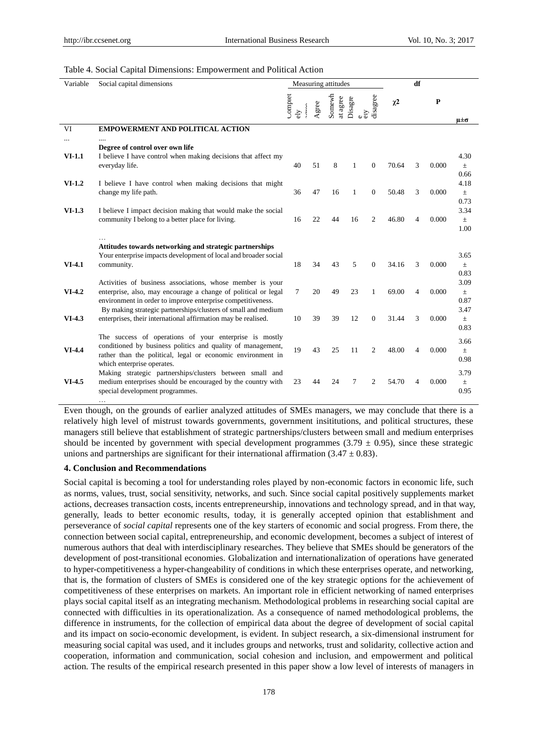#### Table 4. Social Capital Dimensions: Empowerment and Political Action

| Variable | Social capital dimensions                                                                                                                                                                                          | Measuring attitudes                  |       |                    |         |                        |          |   |             |                          |
|----------|--------------------------------------------------------------------------------------------------------------------------------------------------------------------------------------------------------------------|--------------------------------------|-------|--------------------|---------|------------------------|----------|---|-------------|--------------------------|
|          |                                                                                                                                                                                                                    | <b>Complet</b><br><b>DOMAI</b><br>ъþ | Agree | Somewh<br>at agree | Disagre | disagree<br>$\epsilon$ | $\chi^2$ |   | $\mathbf P$ | μ±σ                      |
| VI       | <b>EMPOWERMENT AND POLITICAL ACTION</b>                                                                                                                                                                            |                                      |       |                    |         |                        |          |   |             |                          |
| $VI-1.1$ | <br>Degree of control over own life<br>I believe I have control when making decisions that affect my<br>everyday life.                                                                                             | 40                                   | 51    | 8                  | 1       | $\mathbf{0}$           | 70.64    | 3 | 0.000       | 4.30<br>$\pm$<br>0.66    |
| $VI-1.2$ | I believe I have control when making decisions that might<br>change my life path.                                                                                                                                  | 36                                   | 47    | 16                 | 1       | $\mathbf{0}$           | 50.48    | 3 | 0.000       | 4.18<br>$\pm$<br>0.73    |
| $VI-1.3$ | I believe I impact decision making that would make the social<br>community I belong to a better place for living.                                                                                                  | 16                                   | 22    | 44                 | 16      | 2                      | 46.80    | 4 | 0.000       | 3.34<br>$\pm$<br>1.00    |
| $VI-4.1$ | Attitudes towards networking and strategic partnerships<br>Your enterprise impacts development of local and broader social<br>community.                                                                           | 18                                   | 34    | 43                 | 5       | $\mathbf{0}$           | 34.16    | 3 | 0.000       | 3.65<br>土<br>0.83        |
| $VI-4.2$ | Activities of business associations, whose member is your<br>enterprise, also, may encourage a change of political or legal<br>environment in order to improve enterprise competitiveness.                         | 7                                    | 20    | 49                 | 23      | $\mathbf{1}$           | 69.00    | 4 | 0.000       | 3.09<br>$_{\pm}$<br>0.87 |
| $VI-4.3$ | By making strategic partnerships/clusters of small and medium<br>enterprises, their international affirmation may be realised.                                                                                     | 10                                   | 39    | 39                 | 12      | $\mathbf{0}$           | 31.44    | 3 | 0.000       | 3.47<br>$\pm$<br>0.83    |
| $VI-4.4$ | The success of operations of your enterprise is mostly<br>conditioned by business politics and quality of management,<br>rather than the political, legal or economic environment in<br>which enterprise operates. | 19                                   | 43    | 25                 | 11      | 2                      | 48.00    | 4 | 0.000       | 3.66<br>$\pm$<br>0.98    |
| $VI-4.5$ | Making strategic partnerships/clusters between small and<br>medium enterprises should be encouraged by the country with<br>special development programmes.<br>$\cdots$                                             | 23                                   | 44    | 24                 | 7       | 2                      | 54.70    | 4 | 0.000       | 3.79<br>$_{\pm}$<br>0.95 |

Even though, on the grounds of earlier analyzed attitudes of SMEs managers, we may conclude that there is a relatively high level of mistrust towards governments, government insititutions, and political structures, these managers still believe that establishment of strategic partnerships/clusters between small and medium enterprises should be incented by government with special development programmes (3.79  $\pm$  0.95), since these strategic unions and partnerships are significant for their international affirmation  $(3.47 \pm 0.83)$ .

#### **4. Conclusion and Recommendations**

Social capital is becoming a tool for understanding roles played by non-economic factors in economic life, such as norms, values, trust, social sensitivity, networks, and such. Since social capital positively supplements market actions, decreases transaction costs, incents entrepreneurship, innovations and technology spread, and in that way, generally, leads to better economic results, today, it is generally accepted opinion that establishment and perseverance of *social capital* represents one of the key starters of economic and social progress. From there, the connection between social capital, entrepreneurship, and economic development, becomes a subject of interest of numerous authors that deal with interdisciplinary researches. They believe that SMEs should be generators of the development of post-transitional economies. Globalization and internationalization of operations have generated to hyper-competitiveness a hyper-changeability of conditions in which these enterprises operate, and networking, that is, the formation of clusters of SMEs is considered one of the key strategic options for the achievement of competitiveness of these enterprises on markets. An important role in efficient networking of named enterprises plays social capital itself as an integrating mechanism. Methodological problems in researching social capital are connected with difficulties in its operationalization. As a consequence of named methodological problems, the difference in instruments, for the collection of empirical data about the degree of development of social capital and its impact on socio-economic development, is evident. In subject research, a six-dimensional instrument for measuring social capital was used, and it includes groups and networks, trust and solidarity, collective action and cooperation, information and communication, social cohesion and inclusion, and empowerment and political action. The results of the empirical research presented in this paper show a low level of interests of managers in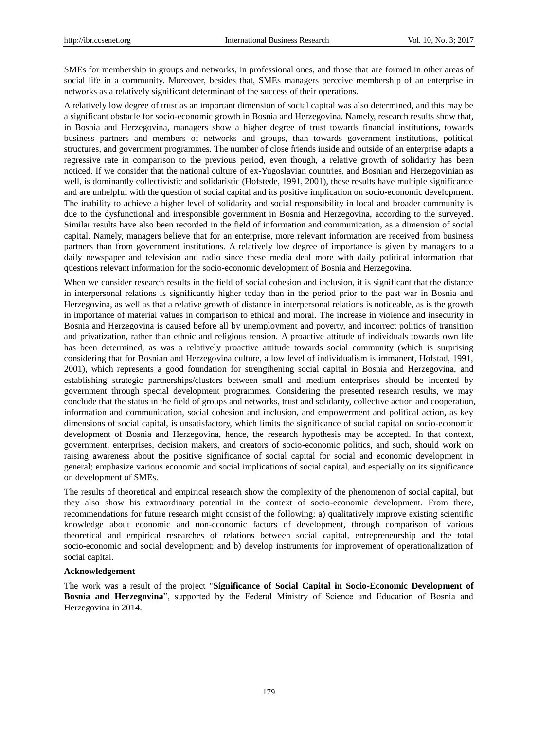SMEs for membership in groups and networks, in professional ones, and those that are formed in other areas of social life in a community. Moreover, besides that, SMEs managers perceive membership of an enterprise in networks as a relatively significant determinant of the success of their operations.

A relatively low degree of trust as an important dimension of social capital was also determined, and this may be a significant obstacle for socio-economic growth in Bosnia and Herzegovina. Namely, research results show that, in Bosnia and Herzegovina, managers show a higher degree of trust towards financial institutions, towards business partners and members of networks and groups, than towards government institutions, political structures, and government programmes. The number of close friends inside and outside of an enterprise adapts a regressive rate in comparison to the previous period, even though, a relative growth of solidarity has been noticed. If we consider that the national culture of ex-Yugoslavian countries, and Bosnian and Herzegovinian as well, is dominantly collectivistic and solidaristic (Hofstede, 1991, 2001), these results have multiple significance and are unhelpful with the question of social capital and its positive implication on socio-economic development. The inability to achieve a higher level of solidarity and social responsibility in local and broader community is due to the dysfunctional and irresponsible government in Bosnia and Herzegovina, according to the surveyed. Similar results have also been recorded in the field of information and communication, as a dimension of social capital. Namely, managers believe that for an enterprise, more relevant information are received from business partners than from government institutions. A relatively low degree of importance is given by managers to a daily newspaper and television and radio since these media deal more with daily political information that questions relevant information for the socio-economic development of Bosnia and Herzegovina.

When we consider research results in the field of social cohesion and inclusion, it is significant that the distance in interpersonal relations is significantly higher today than in the period prior to the past war in Bosnia and Herzegovina, as well as that a relative growth of distance in interpersonal relations is noticeable, as is the growth in importance of material values in comparison to ethical and moral. The increase in violence and insecurity in Bosnia and Herzegovina is caused before all by unemployment and poverty, and incorrect politics of transition and privatization, rather than ethnic and religious tension. A proactive attitude of individuals towards own life has been determined, as was a relatively proactive attitude towards social community (which is surprising considering that for Bosnian and Herzegovina culture, a low level of individualism is immanent, Hofstad, 1991, 2001), which represents a good foundation for strengthening social capital in Bosnia and Herzegovina, and establishing strategic partnerships/clusters between small and medium enterprises should be incented by government through special development programmes. Considering the presented research results, we may conclude that the status in the field of groups and networks, trust and solidarity, collective action and cooperation, information and communication, social cohesion and inclusion, and empowerment and political action, as key dimensions of social capital, is unsatisfactory, which limits the significance of social capital on socio-economic development of Bosnia and Herzegovina, hence, the research hypothesis may be accepted. In that context, government, enterprises, decision makers, and creators of socio-economic politics, and such, should work on raising awareness about the positive significance of social capital for social and economic development in general; emphasize various economic and social implications of social capital, and especially on its significance on development of SMEs.

The results of theoretical and empirical research show the complexity of the phenomenon of social capital, but they also show his extraordinary potential in the context of socio-economic development. From there, recommendations for future research might consist of the following: a) qualitatively improve existing scientific knowledge about economic and non-economic factors of development, through comparison of various theoretical and empirical researches of relations between social capital, entrepreneurship and the total socio-economic and social development; and b) develop instruments for improvement of operationalization of social capital.

## **Acknowledgement**

The work was a result of the project "**Significance of Social Capital in Socio-Economic Development of**  Bosnia and Herzegovina", supported by the Federal Ministry of Science and Education of Bosnia and Herzegovina in 2014.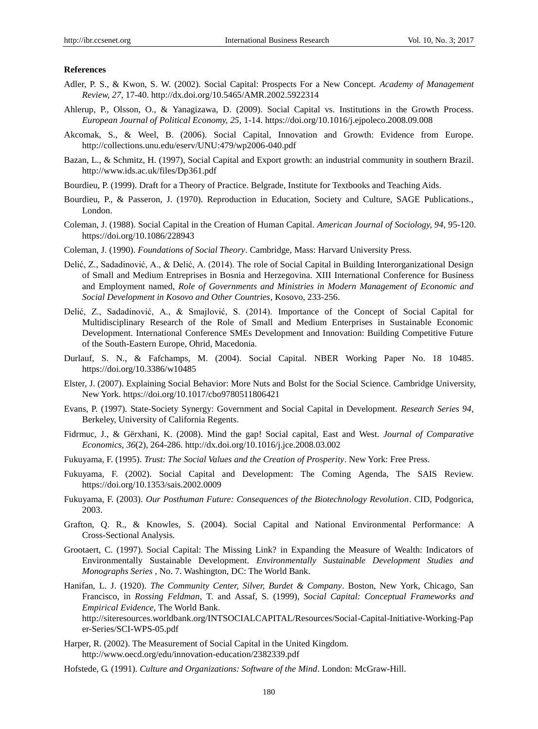#### **References**

- Adler, P. S., & Kwon, S. W. (2002). Social Capital: Prospects For a New Concept. *Academy of Management Review, 27,* 17-40. http://dx.doi.org/10.5465/AMR.2002.5922314
- Ahlerup, P., Olsson, O., & Yanagizawa, D. (2009). Social Capital vs. Institutions in the Growth Process. *European Journal of Political Economy, 25,* 1-14. https://doi.org/10.1016/j.ejpoleco.2008.09.008
- Akcomak, S., & Weel, B. (2006). Social Capital, Innovation and Growth: Evidence from Europe. <http://collections.unu.edu/eserv/UNU:479/wp2006-040.pdf>
- Bazan, L., & Schmitz, H. (1997), Social Capital and Export growth: an industrial community in southern Brazil. <http://www.ids.ac.uk/files/Dp361.pdf>
- Bourdieu, P. (1999). Draft for a Theory of Practice. Belgrade, Institute for Textbooks and Teaching Aids.
- Bourdieu, P., & Passeron, J. (1970). Reproduction in Education, Society and Culture, SAGE Publications., London.
- Coleman, J. (1988). Social Capital in the Creation of Human Capital. *American Journal of Sociology, 94,* 95-120. https://doi.org/10.1086/228943
- Coleman, J. (1990). *Foundations of Social Theory*. Cambridge, Mass: Harvard University Press.
- Delić, Z., Sadadinović, A., & Delić, A. (2014). The role of Social Capital in Building Interorganizational Design of Small and Medium Entreprises in Bosnia and Herzegovina. XIII International Conference for Business and Employment named, *Role of Governments and Ministries in Modern Management of Economic and Social Development in Kosovo and Other Countries*, Kosovo, 233-256.
- Delić, Z., Sadadinović, A., & Smajlović, S. (2014). Importance of the Concept of Social Capital for Multidisciplinary Research of the Role of Small and Medium Enterprises in Sustainable Economic Development. International Conference SMEs Development and Innovation: Building Competitive Future of the South-Eastern Europe, Ohrid, Macedonia.
- Durlauf, S. N., & Fafchamps, M. (2004). Social Capital. NBER Working Paper No. 18 10485. https://doi.org/10.3386/w10485
- Elster, J. (2007). Explaining Social Behavior: More Nuts and Bolst for the Social Science. Cambridge University, New York. https://doi.org/10.1017/cbo9780511806421
- Evans, P. (1997). State-Society Synergy: Government and Social Capital in Development. *Research Series 94*, Berkeley, University of California Regents.
- Fidrmuc, J., & Gërxhani, K. (2008). Mind the gap! Social capital, East and West. *[Journal of Comparative](http://www.sciencedirect.com/science/journal/01475967)  [Economics,](http://www.sciencedirect.com/science/journal/01475967) 36*(2), 264-286.<http://dx.doi.org/10.1016/j.jce.2008.03.002>
- Fukuyama, F. (1995). *Trust: The Social Values and the Creation of Prosperity*. New York: Free Press.
- Fukuyama, F. (2002). Social Capital and Development: The Coming Agenda, The SAIS Review. https://doi.org/10.1353/sais.2002.0009
- Fukuyama, F. (2003). *Our Posthuman Future: Consequences of the Biotechnology Revolution*. CID, Podgorica, 2003.
- Grafton, Q. R., & Knowles, S. (2004). Social Capital and National Environmental Performance: A Cross-Sectional Analysis.
- Grootaert, C. (1997). Social Capital: The Missing Link? in Expanding the Measure of Wealth: Indicators of Environmentally Sustainable Development*. Environmentally Sustainable Development Studies and Monographs Series ,* No. 7. Washington, DC: The World Bank.
- Hanifan, L. J. (1920). *The Community Center, Silver, Burdet & Company*. Boston, New York, Chicago, San Francisco, in *Rossing Feldman*, T. and Assaf, S. (1999), *Social Capital: Conceptual Frameworks and Empirical Evidence,* The World Bank. [http://siteresources.worldbank.org/INTSOCIALCAPITAL/Resources/Social-Capital-Initiative-Working-Pap](http://siteresources.worldbank.org/INTSOCIALCAPITAL/Resources/Social-Capital-Initiative-Working-Paper-Series/SCI-WPS-05.pdf) [er-Series/SCI-WPS-05.pdf](http://siteresources.worldbank.org/INTSOCIALCAPITAL/Resources/Social-Capital-Initiative-Working-Paper-Series/SCI-WPS-05.pdf)
- Harper, R. (2002). The Measurement of Social Capital in the United Kingdom. <http://www.oecd.org/edu/innovation-education/2382339.pdf>
- Hofstede, G. (1991). *Culture and Organizations: Software of the Mind*. London: McGraw-Hill.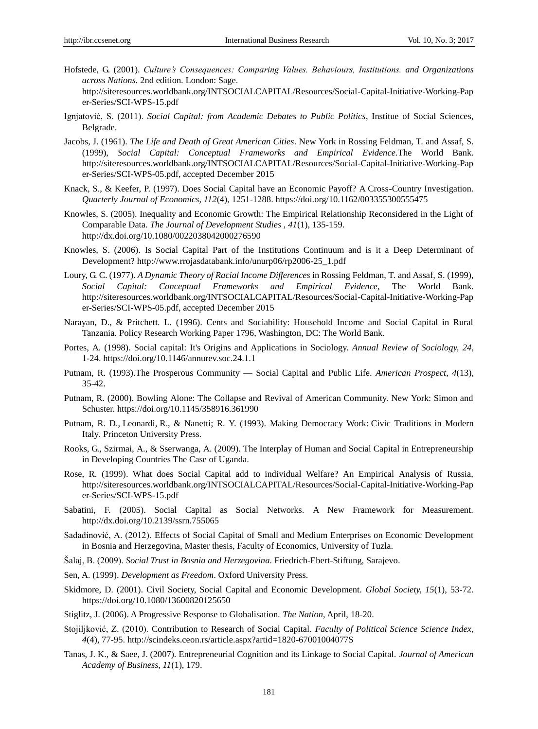- Hofstede, G. (2001). *Culture's Consequences: Comparing Values. Behaviours, Institutions. and Organizations across Nations.* 2nd edition. London: Sage. [http://siteresources.worldbank.org/INTSOCIALCAPITAL/Resources/Social-Capital-Initiative-Working-Pap](http://siteresources.worldbank.org/INTSOCIALCAPITAL/Resources/Social-Capital-Initiative-Working-Paper-Series/SCI-WPS-15.pdf) [er-Series/SCI-WPS-15.pdf](http://siteresources.worldbank.org/INTSOCIALCAPITAL/Resources/Social-Capital-Initiative-Working-Paper-Series/SCI-WPS-15.pdf)
- Ignjatović, S. (2011). *Social Capital: from Academic Debates to Public Politics*, Institue of Social Sciences, Belgrade.
- Jacobs, J. (1961). *The Life and Death of Great American Cities*. New York in Rossing Feldman, T. and Assaf, S. (1999), *Social Capital: Conceptual Frameworks and Empirical Evidence.*The World Bank. [http://siteresources.worldbank.org/INTSOCIALCAPITAL/Resources/Social-Capital-Initiative-Working-Pap](http://siteresources.worldbank.org/INTSOCIALCAPITAL/Resources/Social-Capital-Initiative-Working-Paper-Series/SCI-WPS-05.pdf) [er-Series/SCI-WPS-05.pdf,](http://siteresources.worldbank.org/INTSOCIALCAPITAL/Resources/Social-Capital-Initiative-Working-Paper-Series/SCI-WPS-05.pdf) accepted December 2015
- Knack, S., & Keefer, P. (1997). Does Social Capital have an Economic Payoff? A Cross-Country Investigation. *Quarterly Journal of Economics, 112*(4), 1251-1288. https://doi.org/10.1162/003355300555475
- [Knowles,](http://www.tandfonline.com/author/Knowles%2C+Stephen) S. (2005). Inequality and Economic Growth: The Empirical Relationship Reconsidered in the Light of Comparable Data. *[The Journal of Development Studies](http://www.tandfonline.com/toc/fjds20/current) , 41*(1), 135-159. <http://dx.doi.org/10.1080/0022038042000276590>
- Knowles, S. (2006). Is Social Capital Part of the Institutions Continuum and is it a Deep Determinant of Development? [http://www.rrojasdatabank.info/unurp06/rp2006-25\\_1.pdf](http://www.rrojasdatabank.info/unurp06/rp2006-25_1.pdf)
- Loury, G. C. (1977). *A Dynamic Theory of Racial Income Differences* in Rossing Feldman, T. and Assaf, S. (1999), *Social Capital: Conceptual Frameworks and Empirical Evidence,* The World Bank. [http://siteresources.worldbank.org/INTSOCIALCAPITAL/Resources/Social-Capital-Initiative-Working-Pap](http://siteresources.worldbank.org/INTSOCIALCAPITAL/Resources/Social-Capital-Initiative-Working-Paper-Series/SCI-WPS-05.pdf) [er-Series/SCI-WPS-05.pdf,](http://siteresources.worldbank.org/INTSOCIALCAPITAL/Resources/Social-Capital-Initiative-Working-Paper-Series/SCI-WPS-05.pdf) accepted December 2015
- Narayan, D., & Pritchett. L. (1996). Cents and Sociability: Household Income and Social Capital in Rural Tanzania. Policy Research Working Paper 1796, Washington, DC: The World Bank.
- Portes, A. (1998). Social capital: It's Origins and Applications in Sociology. *Annual Review of Sociology, 24,* 1-24. https://doi.org/10.1146/annurev.soc.24.1.1
- Putnam, R. (1993).The Prosperous Community Social Capital and Public Life. *American Prospect, 4*(13), 35-42.
- Putnam, R. (2000). Bowling Alone: The Collapse and Revival of American Community. New York: Simon and Schuster. https://doi.org/10.1145/358916.361990
- [Putnam,](https://www.google.ba/search?hl=hr&tbo=p&tbm=bks&q=inauthor:%22Robert+D.+Putnam%22) R. D., [Leonardi,](https://www.google.ba/search?hl=hr&tbo=p&tbm=bks&q=inauthor:%22Robert+Leonardi%22) R., & [Nanetti;](https://www.google.ba/search?hl=hr&tbo=p&tbm=bks&q=inauthor:%22Raffaella+Y.+Nanetti%22) R. Y. (1993). Making Democracy Work: Civic Traditions in Modern Italy. Princeton University Press.
- Rooks, G., Szirmai, A., & Sserwanga, A. (2009). The Interplay of Human and Social Capital in Entrepreneurship in Developing Countries The Case of Uganda.
- Rose, R. (1999). What does Social Capital add to individual Welfare? An Empirical Analysis of Russia, http://siteresources.worldbank.org/INTSOCIALCAPITAL/Resources/Social-Capital-Initiative-Working-Pap er-Series/SCI-WPS-15.pdf
- Sabatini, F. (2005). Social Capital as Social Networks. A New Framework for Measurement. <http://dx.doi.org/10.2139/ssrn.755065>
- Sadadinović, A. (2012). Effects of Social Capital of Small and Medium Enterprises on Economic Development in Bosnia and Herzegovina, Master thesis, Faculty of Economics, University of Tuzla.
- Šalaj, B. (2009). *Social Trust in Bosnia and Herzegovina.* Friedrich-Ebert-Stiftung, Sarajevo.
- Sen, A. (1999). *Development as Freedom*. Oxford University Press.
- Skidmore, D. (2001). Civil Society, Social Capital and Economic Development. *Global Society, 15*(1), 53-72. https://doi.org/10.1080/13600820125650
- Stiglitz, J. (2006). A Progressive Response to Globalisation. *The Nation*, April, 18-20.
- Stojiljković, Z. (2010). Contribution to Research of Social Capital. *Faculty of Political Science Science Index*, *4*(4), 77-95.<http://scindeks.ceon.rs/article.aspx?artid=1820-67001004077S>
- Tanas, J. K., & Saee, J. (2007). Entrepreneurial Cognition and its Linkage to Social Capital. *Journal of American Academy of Business, 11*(1), 179.